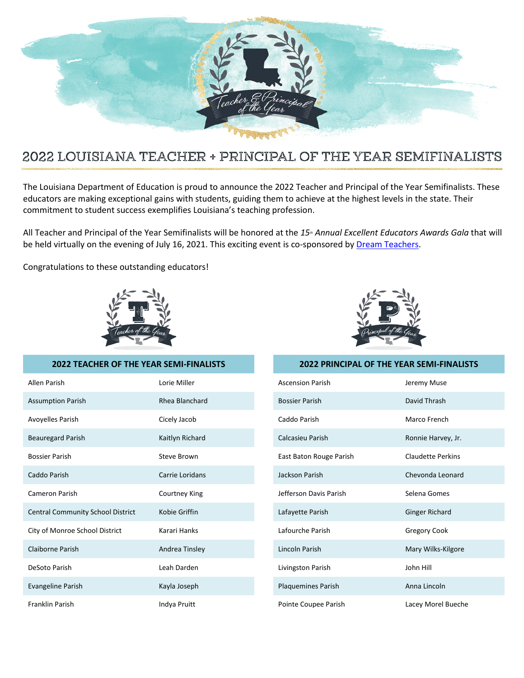

## 2022 LOUISIANA TEACHER + PRINCIPAL OF THE YEAR SEMIFINALISTS

The Louisiana Department of Education is proud to announce the 2022 Teacher and Principal of the Year Semifinalists. These educators are making exceptional gains with students, guiding them to achieve at the highest levels in the state. Their commitment to student success exemplifies Louisiana's teaching profession.

All Teacher and Principal of the Year Semifinalists will be honored at the 15<sup>th</sup> Annual Excellent Educators Awards Gala that will be held virtually on the evening of July 16, 2021. This exciting event is co-sponsored by Dream Teachers.

Congratulations to these outstanding educators!



## **2022 TEACHER OF THE YEAR SEMI-FINALISTS 2022 PRINCIPAL OF THE YEAR SEMI-FINALISTS**

| Allen Parish                             | Lorie Miller    | <b>Ascension Parish</b>   | Jeremy Muse              |
|------------------------------------------|-----------------|---------------------------|--------------------------|
| <b>Assumption Parish</b>                 | Rhea Blanchard  | <b>Bossier Parish</b>     | David Thrash             |
| Avoyelles Parish                         | Cicely Jacob    | Caddo Parish              | Marco French             |
| <b>Beauregard Parish</b>                 | Kaitlyn Richard | Calcasieu Parish          | Ronnie Harvey, Jr.       |
| <b>Bossier Parish</b>                    | Steve Brown     | East Baton Rouge Parish   | <b>Claudette Perkins</b> |
| Caddo Parish                             | Carrie Loridans | Jackson Parish            | Chevonda Leonard         |
| Cameron Parish                           | Courtney King   | Jefferson Davis Parish    | Selena Gomes             |
| <b>Central Community School District</b> | Kobie Griffin   | Lafayette Parish          | <b>Ginger Richard</b>    |
| City of Monroe School District           | Karari Hanks    | Lafourche Parish          | <b>Gregory Cook</b>      |
| Claiborne Parish                         | Andrea Tinsley  | Lincoln Parish            | Mary Wilks-Kilgore       |
| DeSoto Parish                            | Leah Darden     | Livingston Parish         | John Hill                |
| Evangeline Parish                        | Kayla Joseph    | <b>Plaquemines Parish</b> | Anna Lincoln             |
| Franklin Parish                          | Indya Pruitt    | Pointe Coupee Parish      | Lacey Morel Bueche       |

| Ascension Parish          | Jeremy Muse              |  |  |
|---------------------------|--------------------------|--|--|
| <b>Bossier Parish</b>     | David Thrash             |  |  |
| Caddo Parish              | Marco French             |  |  |
| Calcasieu Parish          | Ronnie Harvey, Jr.       |  |  |
| East Baton Rouge Parish   | <b>Claudette Perkins</b> |  |  |
| Jackson Parish            | Chevonda Leonard         |  |  |
| Jefferson Davis Parish    | Selena Gomes             |  |  |
| Lafayette Parish          | <b>Ginger Richard</b>    |  |  |
| Lafourche Parish          | <b>Gregory Cook</b>      |  |  |
| Lincoln Parish            | Mary Wilks-Kilgore       |  |  |
| Livingston Parish         | John Hill                |  |  |
| <b>Plaquemines Parish</b> | Anna Lincoln             |  |  |
| Pointe Coupee Parish      | Lacey Morel Bueche       |  |  |